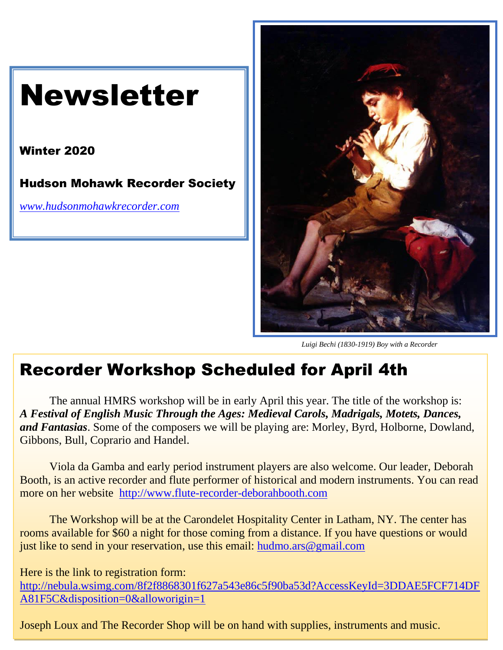



*Luigi Bechi (1830-1919) Boy with a Recorder*

### Recorder Workshop Scheduled for April 4th

The annual HMRS workshop will be in early April this year. The title of the workshop is: *A Festival of English Music Through the Ages: Medieval Carols, Madrigals, Motets, Dances, and Fantasias*. Some of the composers we will be playing are: Morley, Byrd, Holborne, Dowland, Gibbons, Bull, Coprario and Handel.

Viola da Gamba and early period instrument players are also welcome. Our leader, Deborah Booth, is an active recorder and flute performer of historical and modern instruments. You can read more on her website [http://www.flute-recorder-deborahbooth.com](http://www.flute-recorder-deborahbooth.com/)

The Workshop will be at the Carondelet Hospitality Center in Latham, NY. The center has rooms available for \$60 a night for those coming from a distance. If you have questions or would just like to send in your reservation, use this email: [hudmo.ars@gmail.com](mailto:hudmo.ars@gmail.com)

Here is the link to registration form:

[Type text] [A81F5C&disposition=0&alloworigin=1](http://nebula.wsimg.com/8f2f8868301f627a543e86c5f90ba53d?AccessKeyId=3DDAE5FCF714DFA81F5C&disposition=0&alloworigin=1) [http://nebula.wsimg.com/8f2f8868301f627a543e86c5f90ba53d?AccessKeyId=3DDAE5FCF714DF](http://nebula.wsimg.com/8f2f8868301f627a543e86c5f90ba53d?AccessKeyId=3DDAE5FCF714DFA81F5C&disposition=0&alloworigin=1)

Joseph Loux and The Recorder Shop will be on hand with supplies, instruments and music.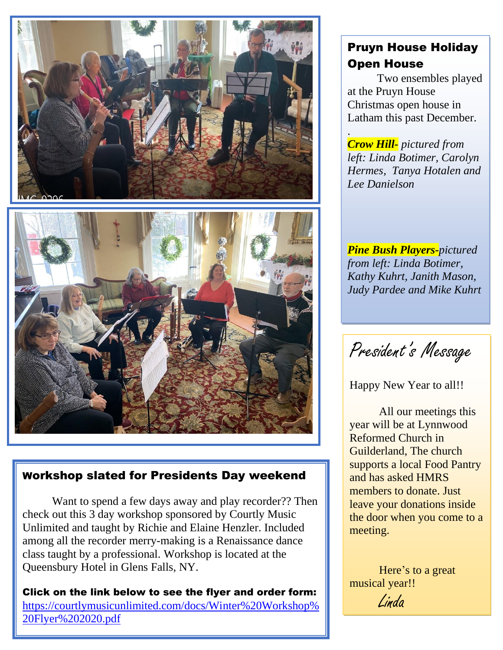

### Workshop slated for Presidents Day weekend

Want to spend a few days away and play recorder?? Then check out this 3 day workshop sponsored by Courtly Music Unlimited and taught by Richie and Elaine Henzler. Included among all the recorder merry-making is a Renaissance dance class taught by a professional. Workshop is located at the Queensbury Hotel in Glens Falls, NY.

[https://courtlymusicunlimited.com/docs/Winter%20Workshop%](https://courtlymusicunlimited.com/docs/Winter%20Workshop%20Flyer%202020.pdf) Click on the link below to see the flyer and order form: [20Flyer%202020.pdf](https://courtlymusicunlimited.com/docs/Winter%20Workshop%20Flyer%202020.pdf)

### Pruyn House Holiday Open House

Two ensembles played at the Pruyn House Christmas open house in Latham this past December.

. *Crow Hill- pictured from left: Linda Botimer, Carolyn Hermes, Tanya Hotalen and Lee Danielson*

*Pine Bush Players-pictured from left: Linda Botimer, Kathy Kuhrt, Janith Mason, Judy Pardee and Mike Kuhrt*

President's Message

Happy New Year to all!!

All our meetings this year will be at Lynnwood Reformed Church in Guilderland, The church supports a local Food Pantry and has asked HMRS members to donate. Just leave your donations inside the door when you come to a meeting.

Here's to a great musical year!! Linda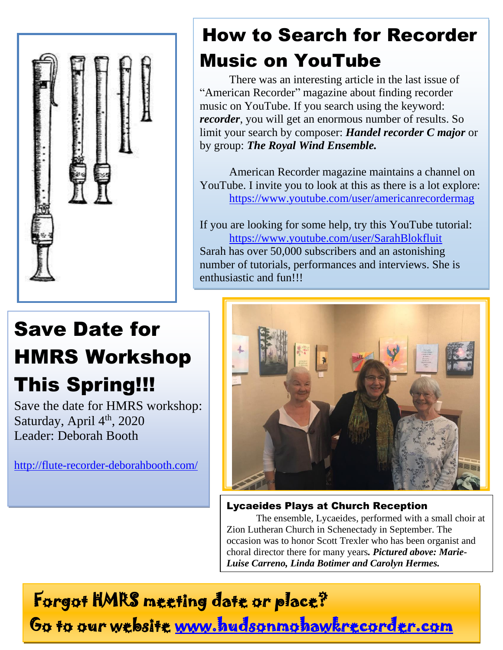

# How to Search for Recorder Music on YouTube

There was an interesting article in the last issue of "American Recorder" magazine about finding recorder music on YouTube. If you search using the keyword: *recorder*, you will get an enormous number of results. So limit your search by composer: *Handel recorder C major* or by group: *The Royal Wind Ensemble.*

American Recorder magazine maintains a channel on YouTube. I invite you to look at this as there is a lot explore: <https://www.youtube.com/user/americanrecordermag>

If you are looking for some help, try this YouTube tutorial: <https://www.youtube.com/user/SarahBlokfluit> Sarah has over 50,000 subscribers and an astonishing number of tutorials, performances and interviews. She is enthusiastic and fun!!!

# Save Date for HMRS Workshop This Spring!!!

Save the date for HMRS workshop: Saturday, April 4<sup>th</sup>, 2020 Leader: Deborah Booth

<http://flute-recorder-deborahbooth.com/>



### Lycaeides Plays at Church Reception

The ensemble, Lycaeides, performed with a small choir at Zion Lutheran Church in Schenectady in September. The occasion was to honor Scott Trexler who has been organist and choral director there for many years*. Pictured above: Marie-Luise Carreno, Linda Botimer and Carolyn Hermes.* 

Forgot HMRS meeting date or place? Go to our website [www.hudsonmohawkrecorder.com](http://www.hudsonmohawkrecorder.com/)